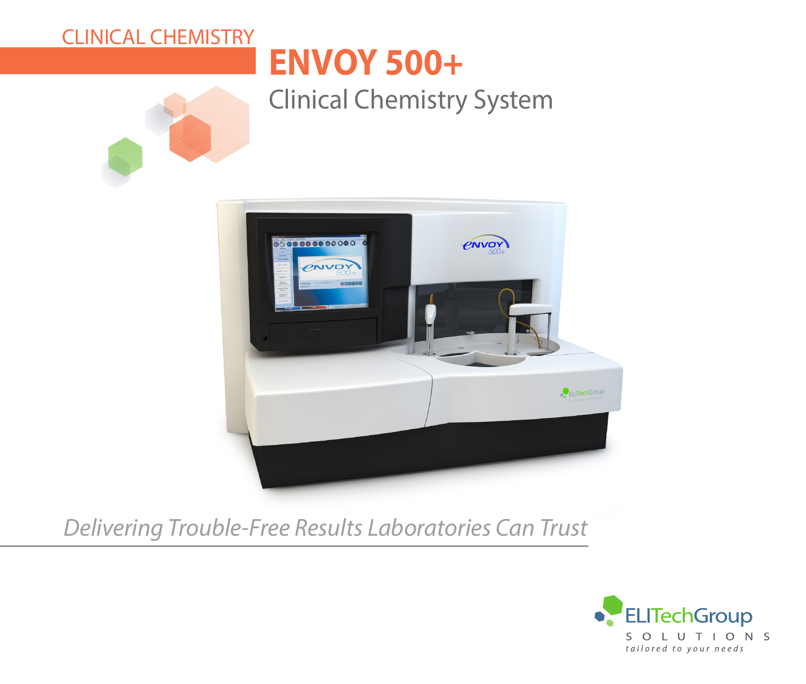# CLINICAL CHEMISTRY

# **ENVOY 500+**

# Clinical Chemistry System





# *Delivering Trouble-Free Results Laboratories Can Trust*

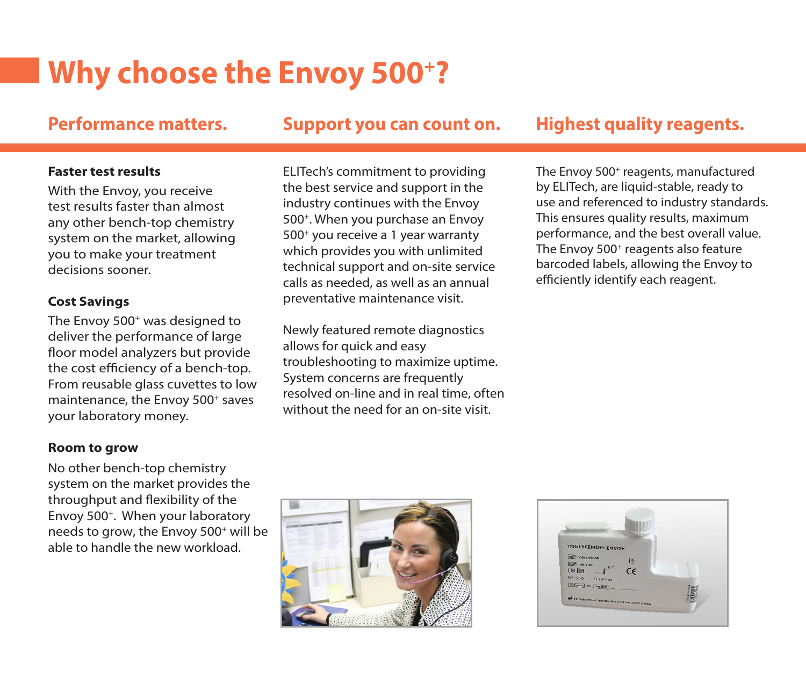# **Why choose the Envoy 500+?**

### Performance matters. Support you can count on. Highest quality reagents.

#### **Faster test results**

With the Envoy, you receive test results faster than almost any other bench-top chemistry system on the market, allowing you to make your treatment decisions sooner.

### **Cost Savings**

The Envoy 500<sup>+</sup> was designed to deliver the performance of large floor model analyzers but provide the cost efficiency of a bench-top. From reusable glass cuvettes to low maintenance, the Envoy 500<sup>+</sup> saves your laboratory money.

### **Room to grow**

No other bench-top chemistry system on the market provides the throughput and flexibility of the Envoy 500+. When your laboratory needs to grow, the Envoy 500+ will be able to handle the new workload.

ELITech's commitment to providing the best service and support in the industry continues with the Envoy 500+. When you purchase an Envoy 500+ you receive a 1 year warranty which provides you with unlimited technical support and on-site service calls as needed, as well as an annual preventative maintenance visit.

Newly featured remote diagnostics allows for quick and easy troubleshooting to maximize uptime. System concerns are frequently resolved on-line and in real time, often without the need for an on-site visit.

The Envoy 500<sup>+</sup> reagents, manufactured by ELITech, are liquid-stable, ready to use and referenced to industry standards. This ensures quality results, maximum performance, and the best overall value. The Envoy 500<sup>+</sup> reagents also feature barcoded labels, allowing the Envoy to efficiently identify each reagent.



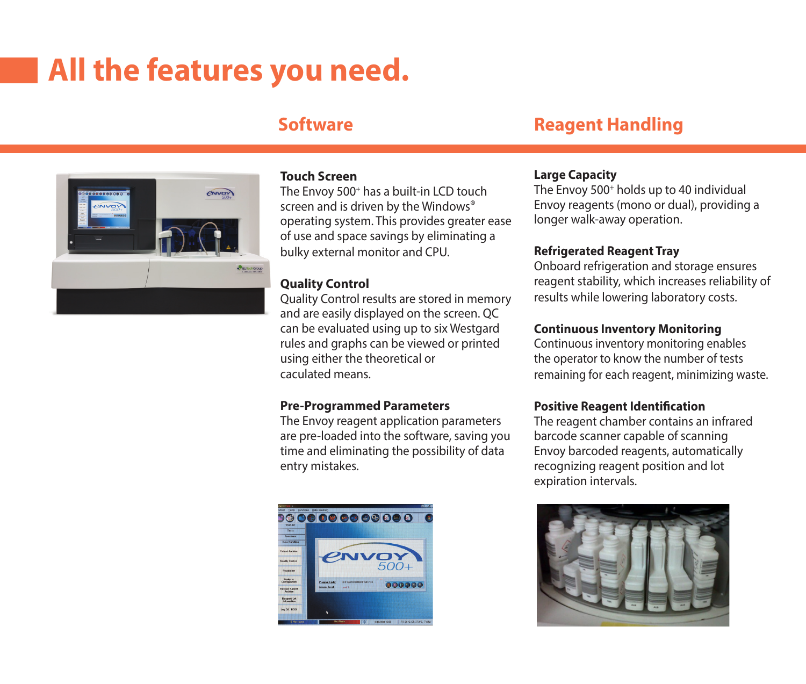# **All the features you need.**

## **Software**





#### **Touch Screen**

The Envoy 500<sup>+</sup> has a built-in LCD touch screen and is driven by the Windows<sup>®</sup> operating system. This provides greater ease of use and space savings by eliminating a bulky external monitor and CPU.

#### **Quality Control**

Quality Control results are stored in memory and are easily displayed on the screen. QC can be evaluated using up to six Westgard rules and graphs can be viewed or printed using either the theoretical or caculated means.

#### **Pre-Programmed Parameters**

The Envoy reagent application parameters are pre-loaded into the software, saving you time and eliminating the possibility of data entry mistakes.



#### **Large Capacity**

The Envoy 500<sup>+</sup> holds up to 40 individual Envoy reagents (mono or dual), providing a longer walk-away operation.

#### **Refrigerated Reagent Tray**

Onboard refrigeration and storage ensures reagent stability, which increases reliability of results while lowering laboratory costs.

#### **Continuous Inventory Monitoring**

Continuous inventory monitoring enables the operator to know the number of tests remaining for each reagent, minimizing waste.

#### **Positive Reagent Identification**

The reagent chamber contains an infrared barcode scanner capable of scanning Envoy barcoded reagents, automatically recognizing reagent position and lot expiration intervals.

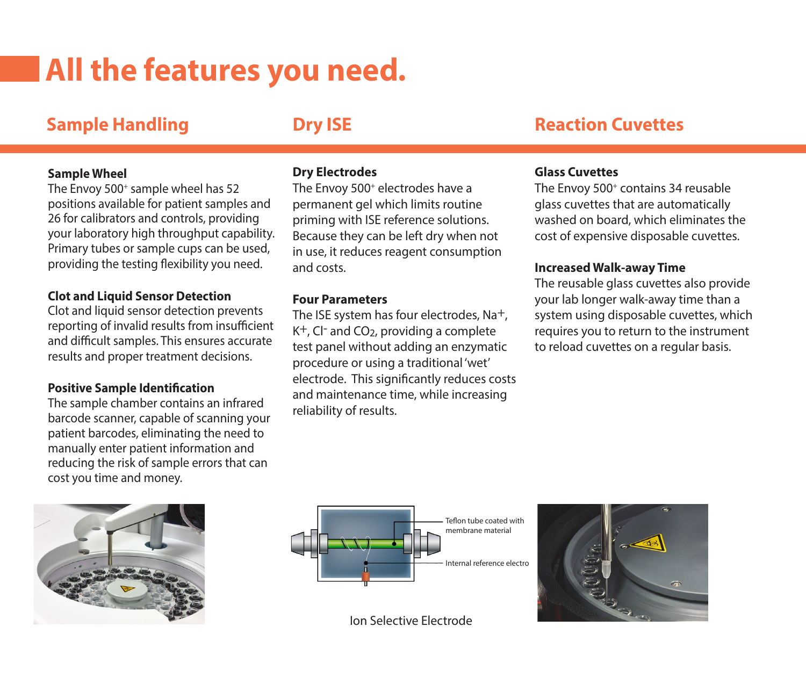# **All the features you need.**

# **Sample Handling**

# **Dry ISE**

#### **Sample Wheel**

The Envoy 500<sup>+</sup> sample wheel has 52 positions available for patient samples and 26 for calibrators and controls, providing your laboratory high throughput capability. Primary tubes or sample cups can be used, providing the testing flexibility you need.

#### **Clot and Liquid Sensor Detection**

Clot and liquid sensor detection prevents reporting of invalid results from insufficient and difficult samples. This ensures accurate results and proper treatment decisions.

#### **Positive Sample Identification**

The sample chamber contains an infrared barcode scanner, capable of scanning your patient barcodes, eliminating the need to manually enter patient information and reducing the risk of sample errors that can cost you time and money.

#### **Dry Electrodes**

The Envoy 500<sup>+</sup> electrodes have a permanent gel which limits routine priming with ISE reference solutions. Because they can be left dry when not in use, it reduces reagent consumption and costs.

#### **Four Parameters**

The ISE system has four electrodes, Na<sup>+</sup>,  $K^+$ , Cl- and CO<sub>2</sub>, providing a complete test panel without adding an enzymatic procedure or using a traditional 'wet' electrode. This significantly reduces costs and maintenance time, while increasing reliability of results.

## **Reaction Cuvettes**

#### **Glass Cuvettes**

The Envoy 500<sup>+</sup> contains 34 reusable glass cuvettes that are automatically washed on board, which eliminates the cost of expensive disposable cuvettes.

#### **Increased Walk-away Time**

The reusable glass cuvettes also provide your lab longer walk-away time than a system using disposable cuvettes, which requires you to return to the instrument to reload cuvettes on a regular basis.







Ion Selective Electrode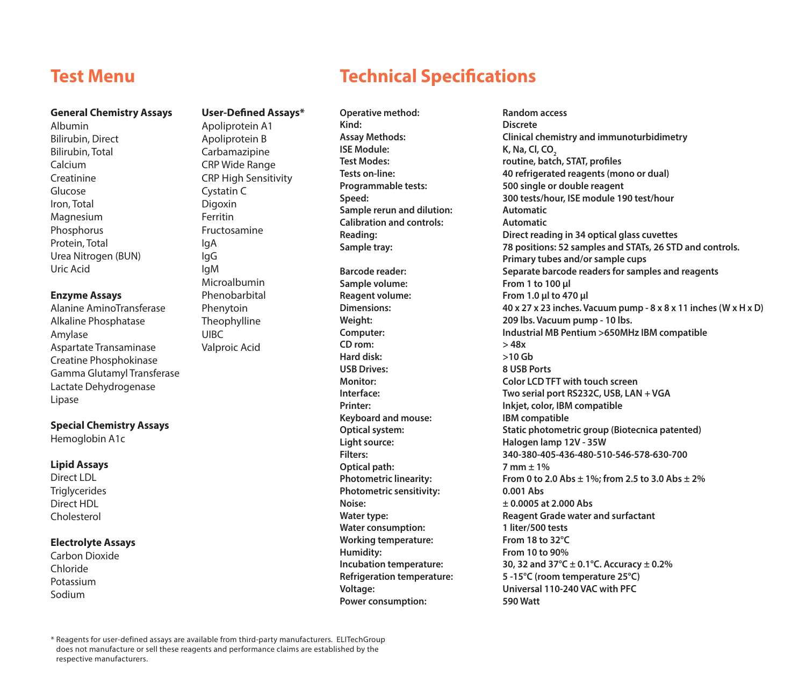### **Test Menu**

#### **General Chemistry Assays**

Albumin Bilirubin, Direct Bilirubin, Total Calcium Creatinine Glucose Iron, Total **Magnesium Phosphorus** Protein, Total Urea Nitrogen (BUN) Uric Acid

#### **Enzyme Assays**

Alanine AminoTransferase Alkaline Phosphatase Amylase Aspartate Transaminase Creatine Phosphokinase Gamma Glutamyl Transferase Lactate Dehydrogenase Lipase

#### **Special Chemistry Assays**

Hemoglobin A1c

#### **Lipid Assays**

Direct LDL **Triglycerides** Direct HDL Cholesterol

#### **Electrolyte Assays**

Carbon Dioxide Chloride Potassium Sodium

#### **User-Defined Assays\*** Apoliprotein A1

Apoliprotein B Carbamazipine CRP Wide Range CRP High Sensitivity Cystatin C Digoxin Ferritin Fructosamine IgA IgG IgM Microalbumin Phenobarbital Phenytoin **Theophylline** UIBC Valproic Acid

# **Technical Specifications**

**Operative method: Random access**

**Kind: Discrete ISE Module: K, Na, Cl, CO<sub>2</sub>**<br> **Test Modes: CO2**<br> **ISE Modes: CO2 Sample rerun and dilution: Automatic Calibration and controls: Automatic** 

**Sample volume: From 1 to 100 µl Reagent volume: From 1.0 µl to 470 µl CD rom: > 48x Hard disk: >10 Gb USB Drives: Keyboard and mouse: IBM compatible Light source: Halogen lamp 12V - 35W Optical path: 7 mm ± 1% Photometric sensitivity: 0.001 Abs Noise: ± 0.0005 at 2.000 Abs Water consumption: Working temperature: From 18 to 32°C Humidity: From 10 to 90% Power consumption: 590 Watt**

# **Assay Methods: Clinical chemistry and immunoturbidimetry Test Modes: routine, batch, STAT, profiles Tests on-line: 40 refrigerated reagents (mono or dual) Programmable tests: 500 single or double reagent Speed: 300 tests/hour, ISE module 190 test/hour Reading: Direct reading in 34 optical glass cuvettes Sample tray: 78 positions: 52 samples and STATs, 26 STD and controls. Primary tubes and/or sample cups Barcode reader: Separate barcode readers for samples and reagents Dimensions: 40 x 27 x 23 inches. Vacuum pump - 8 x 8 x 11 inches (W x H x D) Weight: 209 lbs. Vacuum pump - 10 lbs. Computer: Industrial MB Pentium >650MHz IBM compatible Monitor: Color LCD TFT with touch screen Interface: Two serial port RS232C, USB, LAN + VGA Printer: Inkjet, color, IBM compatible Optical system: Static photometric group (Biotecnica patented) Filters: 340-380-405-436-480-510-546-578-630-700 Photometric linearity: From 0 to 2.0 Abs ± 1%; from 2.5 to 3.0 Abs ± 2% Water type: Reagent Grade water and surfactant Incubation temperature: 30, 32 and 37°C ± 0.1°C. Accuracy ± 0.2% Refrigeration temperature: 5 -15°C (room temperature 25°C) Voltage: Universal 110-240 VAC with PFC**

\* Reagents for user-defined assays are available from third-party manufacturers. ELITechGroup does not manufacture or sell these reagents and performance claims are established by the respective manufacturers.